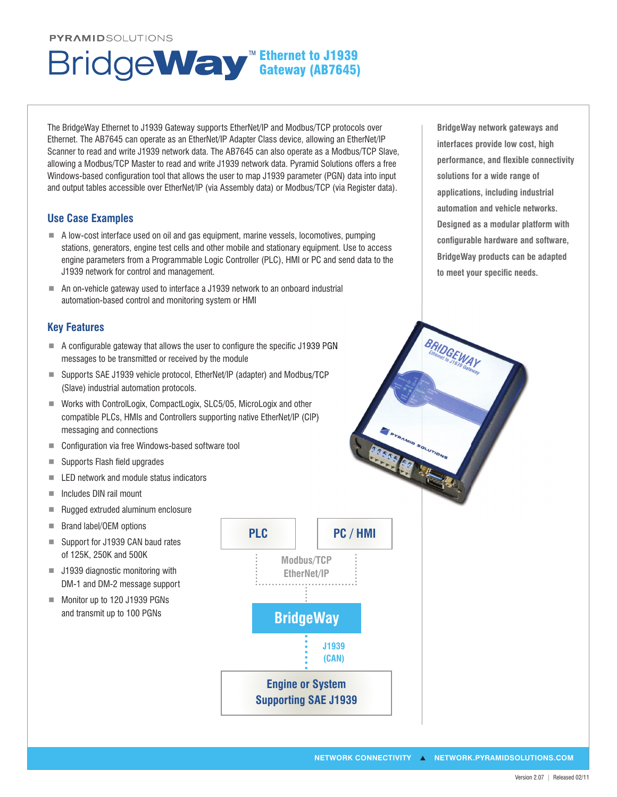#### **PYRAMIDSOLUTIONS**

# Ethernet to J1939 Gateway (AB7645)

The BridgeWay Ethernet to J1939 Gateway supports EtherNet/IP and Modbus/TCP protocols over Ethernet. The AB7645 can operate as an EtherNet/IP Adapter Class device, allowing an EtherNet/IP Scanner to read and write J1939 network data. The AB7645 can also operate as a Modbus/TCP Slave, allowing a Modbus/TCP Master to read and write J1939 network data. Pyramid Solutions offers a free Windows-based configuration tool that allows the user to map J1939 parameter (PGN) data into input and output tables accessible over EtherNet/IP (via Assembly data) or Modbus/TCP (via Register data).

# **Use Case Examples**

- ¾ A low-cost interface used on oil and gas equipment, marine vessels, locomotives, pumping stations, generators, engine test cells and other mobile and stationary equipment. Use to access engine parameters from a Programmable Logic Controller (PLC), HMI or PC and send data to the J1939 network for control and management.
- An on-vehicle gateway used to interface a J1939 network to an onboard industrial automation-based control and monitoring system or HMI

## **Key Features**

- $\blacksquare$  A configurable gateway that allows the user to configure the specific J1939 PGN messages to be transmitted or received by the module
- Supports SAE J1939 vehicle protocol, EtherNet/IP (adapter) and Modbus/TCP (Slave) industrial automation protocols.
- ¾ Works with ControlLogix, CompactLogix, SLC5/05, MicroLogix and other compatible PLCs, HMIs and Controllers supporting native EtherNet/IP (CIP) messaging and connections
- Configuration via free Windows-based software tool
- $\blacksquare$  Supports Flash field upgrades
- $\blacksquare$  LED network and module status indicators
- $\blacksquare$  Includes DIN rail mount
- Rugged extruded aluminum enclosure
- Brand label/OEM options
- Support for J1939 CAN baud rates of 125K, 250K and 500K
- J1939 diagnostic monitoring with DM-1 and DM-2 message support
- Monitor up to 120 J1939 PGNs and transmit up to 100 PGNs



**BridgeWay network gateways and interfaces provide low cost, high**  performance, and flexible connectivity **solutions for a wide range of applications, including industrial automation and vehicle networks. Designed as a modular platform with**  configurable hardware and software, **BridgeWay products can be adapted**  to meet your specific needs.

**BRIDGEWAY**